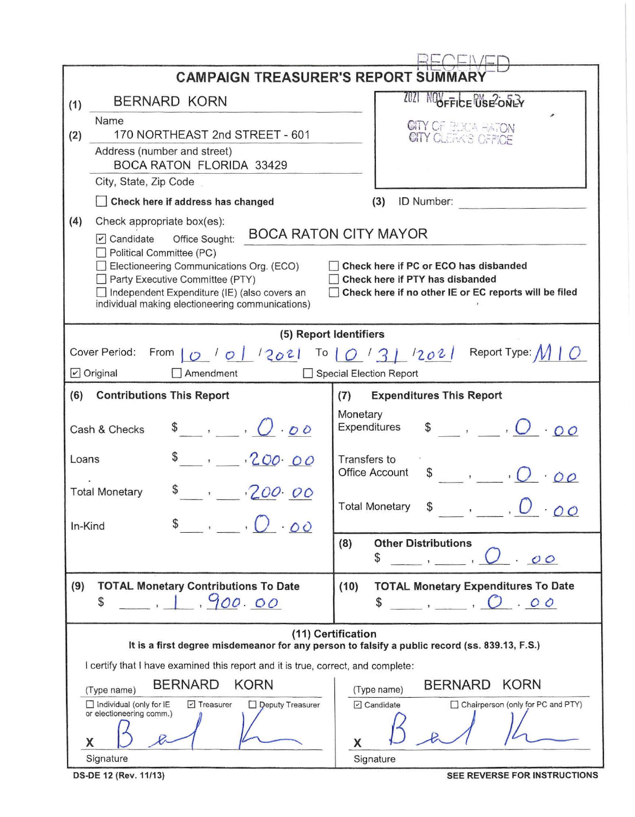|                                                                                                                     | <b>CAMPAIGN TREASURER'S REPORT SUM</b>                                                                                                                                                                                                                                                   |                                                                                                                                                                   |  |  |  |  |  |  |  |
|---------------------------------------------------------------------------------------------------------------------|------------------------------------------------------------------------------------------------------------------------------------------------------------------------------------------------------------------------------------------------------------------------------------------|-------------------------------------------------------------------------------------------------------------------------------------------------------------------|--|--|--|--|--|--|--|
| (1)                                                                                                                 | BERNARD KORN                                                                                                                                                                                                                                                                             | 2021<br><b>NUDFFICE USE ONLY</b>                                                                                                                                  |  |  |  |  |  |  |  |
| (2)                                                                                                                 | Name<br>170 NORTHEAST 2nd STREET - 601                                                                                                                                                                                                                                                   | CITY OF BOCA HATON<br>CITY CLEAKS OFFICE                                                                                                                          |  |  |  |  |  |  |  |
|                                                                                                                     | Address (number and street)<br><b>BOCA RATON FLORIDA 33429</b>                                                                                                                                                                                                                           |                                                                                                                                                                   |  |  |  |  |  |  |  |
|                                                                                                                     | City, State, Zip Code                                                                                                                                                                                                                                                                    |                                                                                                                                                                   |  |  |  |  |  |  |  |
|                                                                                                                     | Check here if address has changed                                                                                                                                                                                                                                                        | ID Number:<br>(3)                                                                                                                                                 |  |  |  |  |  |  |  |
| (4)                                                                                                                 | Check appropriate box(es):<br>Office Sought:<br>$\triangledown$ Candidate<br>Political Committee (PC)<br>Electioneering Communications Org. (ECO)<br>Party Executive Committee (PTY)<br>Independent Expenditure (IE) (also covers an<br>individual making electioneering communications) | <b>BOCA RATON CITY MAYOR</b><br>Check here if PC or ECO has disbanded<br>Check here if PTY has disbanded<br>Check here if no other IE or EC reports will be filed |  |  |  |  |  |  |  |
| (5) Report Identifiers                                                                                              |                                                                                                                                                                                                                                                                                          |                                                                                                                                                                   |  |  |  |  |  |  |  |
|                                                                                                                     | Cover Period:                                                                                                                                                                                                                                                                            |                                                                                                                                                                   |  |  |  |  |  |  |  |
|                                                                                                                     | $\triangleright$ Original<br>Amendment                                                                                                                                                                                                                                                   | Special Election Report                                                                                                                                           |  |  |  |  |  |  |  |
| (6)                                                                                                                 | <b>Contributions This Report</b>                                                                                                                                                                                                                                                         | <b>Expenditures This Report</b><br>(7)                                                                                                                            |  |  |  |  |  |  |  |
| $\bullet$ , $\bullet$ , $\bullet$<br>Cash & Checks                                                                  |                                                                                                                                                                                                                                                                                          | Monetary<br>$\bullet$ , $\bullet$ , $\circ$ , $\circ$ , $\circ$<br>Expenditures                                                                                   |  |  |  |  |  |  |  |
| $, -200.00$<br>Loans                                                                                                |                                                                                                                                                                                                                                                                                          | Transfers to<br><b>Office Account</b><br>$\begin{array}{cc} \text{S} & , \quad \text{O} \end{array}$                                                              |  |  |  |  |  |  |  |
| 200.00<br><b>Total Monetary</b>                                                                                     |                                                                                                                                                                                                                                                                                          | <b>Total Monetary</b><br>$\overline{U}$ 00                                                                                                                        |  |  |  |  |  |  |  |
| In-Kind                                                                                                             | $\sqrt[3]{\cdot 00}$                                                                                                                                                                                                                                                                     |                                                                                                                                                                   |  |  |  |  |  |  |  |
|                                                                                                                     |                                                                                                                                                                                                                                                                                          | <b>Other Distributions</b><br>(8)<br>\$<br>00                                                                                                                     |  |  |  |  |  |  |  |
| (9)                                                                                                                 | <b>TOTAL Monetary Contributions To Date</b><br>,900.00<br>\$                                                                                                                                                                                                                             | <b>TOTAL Monetary Expenditures To Date</b><br>(10)<br>\$<br>$\overline{O}$ , $\overline{O}$ , $\overline{O}$ , $\overline{O}$                                     |  |  |  |  |  |  |  |
| (11) Certification<br>It is a first degree misdemeanor for any person to falsify a public record (ss. 839.13, F.S.) |                                                                                                                                                                                                                                                                                          |                                                                                                                                                                   |  |  |  |  |  |  |  |
| I certify that I have examined this report and it is true, correct, and complete:                                   |                                                                                                                                                                                                                                                                                          |                                                                                                                                                                   |  |  |  |  |  |  |  |
|                                                                                                                     | <b>BERNARD</b><br><b>KORN</b><br>(Type name)                                                                                                                                                                                                                                             | <b>KORN</b><br><b>BERNARD</b><br>(Type name)                                                                                                                      |  |  |  |  |  |  |  |
|                                                                                                                     | Individual (only for IE<br>$\triangleright$ Treasurer<br>peputy Treasurer<br>or electioneering comm.)<br>X                                                                                                                                                                               | O Candidate<br>Chairperson (only for PC and PTY)<br>X                                                                                                             |  |  |  |  |  |  |  |
|                                                                                                                     | Signature                                                                                                                                                                                                                                                                                | Signature                                                                                                                                                         |  |  |  |  |  |  |  |

DS-DE 12 (Rev. 11/13)

SEE REVERSE FOR INSTRUCTIONS